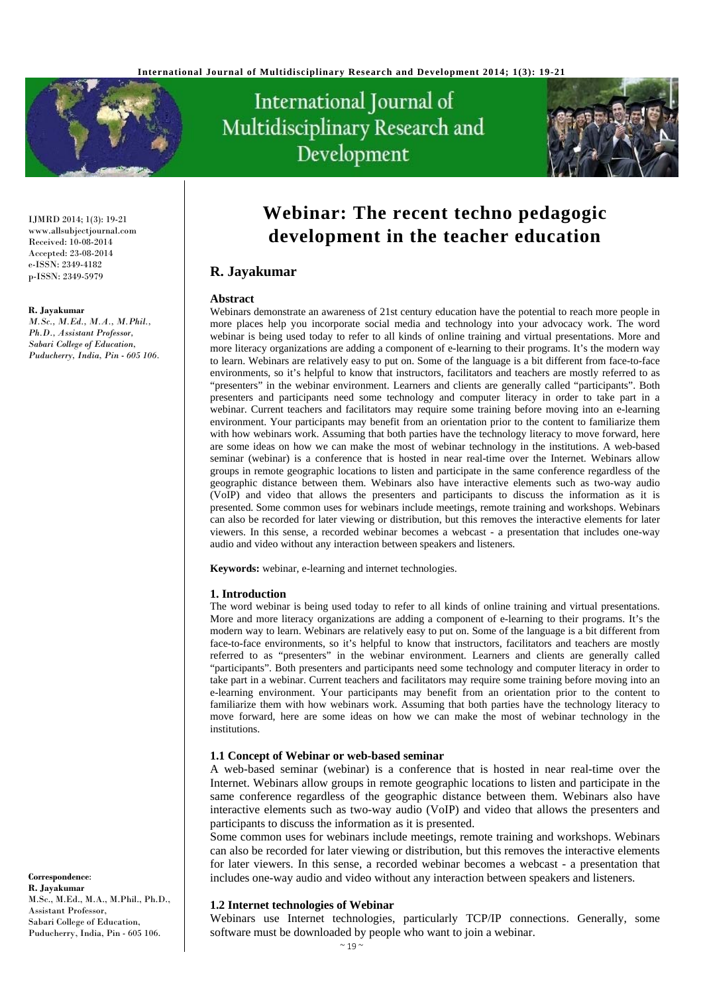

# International Journal of Multidisciplinary Research and Development



IJMRD 2014; 1(3): 19-21 www.allsubjectjournal.com Received: 10-08-2014 Accepted: 23-08-2014 e-ISSN: 2349-4182 p-ISSN: 2349-5979

#### **R. Jayakumar**

*M.Sc., M.Ed., M.A., M.Phil., Ph.D., Assistant Professor, Sabari College of Education, Puducherry, India, Pin - 605 106.*  **Webinar: The recent techno pedagogic development in the teacher education** 

# **R. Jayakumar**

#### **Abstract**

Webinars demonstrate an awareness of 21st century education have the potential to reach more people in more places help you incorporate social media and technology into your advocacy work. The word webinar is being used today to refer to all kinds of online training and virtual presentations. More and more literacy organizations are adding a component of e-learning to their programs. It's the modern way to learn. Webinars are relatively easy to put on. Some of the language is a bit different from face-to-face environments, so it's helpful to know that instructors, facilitators and teachers are mostly referred to as "presenters" in the webinar environment. Learners and clients are generally called "participants". Both presenters and participants need some technology and computer literacy in order to take part in a webinar. Current teachers and facilitators may require some training before moving into an e-learning environment. Your participants may benefit from an orientation prior to the content to familiarize them with how webinars work. Assuming that both parties have the technology literacy to move forward, here are some ideas on how we can make the most of webinar technology in the institutions. A web-based seminar (webinar) is a conference that is hosted in near real-time over the Internet. Webinars allow groups in remote geographic locations to listen and participate in the same conference regardless of the geographic distance between them. Webinars also have interactive elements such as two-way audio (VoIP) and video that allows the presenters and participants to discuss the information as it is presented. Some common uses for webinars include meetings, remote training and workshops. Webinars can also be recorded for later viewing or distribution, but this removes the interactive elements for later viewers. In this sense, a recorded webinar becomes a webcast - a presentation that includes one-way audio and video without any interaction between speakers and listeners.

**Keywords:** webinar, e-learning and internet technologies.

#### **1. Introduction**

The word webinar is being used today to refer to all kinds of online training and virtual presentations. More and more literacy organizations are adding a component of e-learning to their programs. It's the modern way to learn. Webinars are relatively easy to put on. Some of the language is a bit different from face-to-face environments, so it's helpful to know that instructors, facilitators and teachers are mostly referred to as "presenters" in the webinar environment. Learners and clients are generally called "participants". Both presenters and participants need some technology and computer literacy in order to take part in a webinar. Current teachers and facilitators may require some training before moving into an e-learning environment. Your participants may benefit from an orientation prior to the content to familiarize them with how webinars work. Assuming that both parties have the technology literacy to move forward, here are some ideas on how we can make the most of webinar technology in the institutions.

#### **1.1 Concept of Webinar or web-based seminar**

A web-based seminar (webinar) is a conference that is hosted in near real-time over the Internet. Webinars allow groups in remote geographic locations to listen and participate in the same conference regardless of the geographic distance between them. Webinars also have interactive elements such as two-way audio (VoIP) and video that allows the presenters and participants to discuss the information as it is presented.

Some common uses for webinars include meetings, remote training and workshops. Webinars can also be recorded for later viewing or distribution, but this removes the interactive elements for later viewers. In this sense, a recorded webinar becomes a webcast - a presentation that includes one-way audio and video without any interaction between speakers and listeners.

#### **1.2 Internet technologies of Webinar**

Webinars use Internet technologies, particularly TCP/IP connections. Generally, some software must be downloaded by people who want to join a webinar.

**Correspondence**: **R. Jayakumar** M.Sc., M.Ed., M.A., M.Phil., Ph.D., Assistant Professor, Sabari College of Education, Puducherry, India, Pin - 605 106.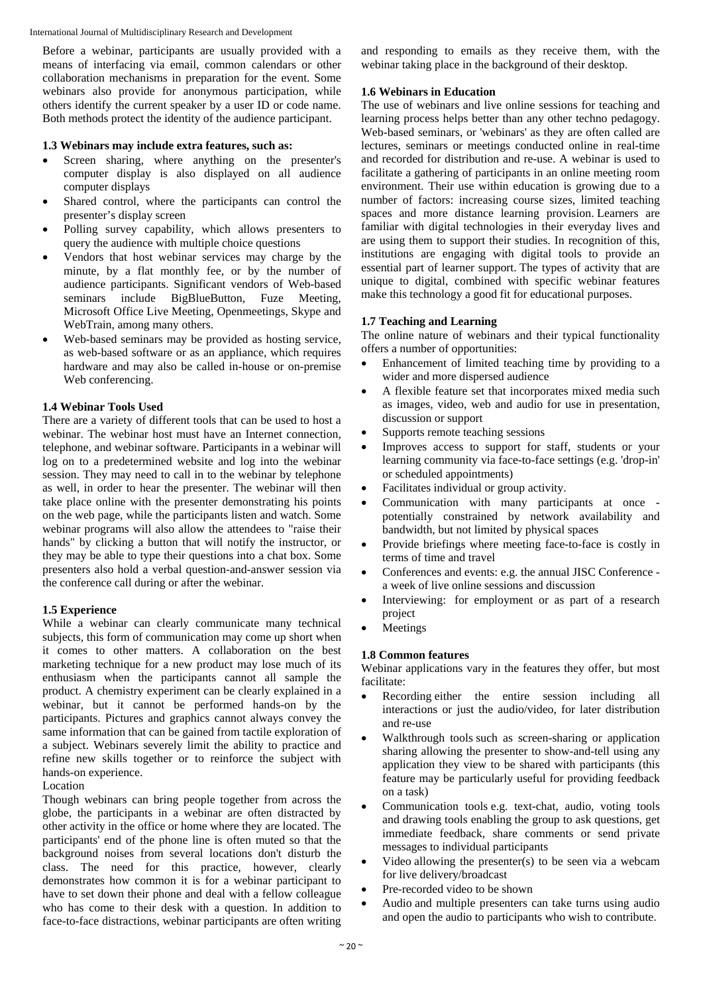International Journal of Multidisciplinary Research and Development

Before a webinar, participants are usually provided with a means of interfacing via email, common calendars or other collaboration mechanisms in preparation for the event. Some webinars also provide for anonymous participation, while others identify the current speaker by a user ID or code name. Both methods protect the identity of the audience participant.

## **1.3 Webinars may include extra features, such as:**

- Screen sharing, where anything on the presenter's computer display is also displayed on all audience computer displays
- Shared control, where the participants can control the presenter's display screen
- Polling survey capability, which allows presenters to query the audience with multiple choice questions
- Vendors that host webinar services may charge by the minute, by a flat monthly fee, or by the number of audience participants. Significant vendors of Web-based seminars include BigBlueButton, Fuze Meeting, Microsoft Office Live Meeting, Openmeetings, Skype and WebTrain, among many others.
- Web-based seminars may be provided as hosting service, as web-based software or as an appliance, which requires hardware and may also be called in-house or on-premise Web conferencing.

## **1.4 Webinar Tools Used**

There are a variety of different tools that can be used to host a webinar. The webinar host must have an Internet connection, telephone, and webinar software. Participants in a webinar will log on to a predetermined website and log into the webinar session. They may need to call in to the webinar by telephone as well, in order to hear the presenter. The webinar will then take place online with the presenter demonstrating his points on the web page, while the participants listen and watch. Some webinar programs will also allow the attendees to "raise their hands" by clicking a button that will notify the instructor, or they may be able to type their questions into a chat box. Some presenters also hold a verbal question-and-answer session via the conference call during or after the webinar.

# **1.5 Experience**

While a webinar can clearly communicate many technical subjects, this form of communication may come up short when it comes to other matters. A collaboration on the best marketing technique for a new product may lose much of its enthusiasm when the participants cannot all sample the product. A chemistry experiment can be clearly explained in a webinar, but it cannot be performed hands-on by the participants. Pictures and graphics cannot always convey the same information that can be gained from tactile exploration of a subject. Webinars severely limit the ability to practice and refine new skills together or to reinforce the subject with hands-on experience.

#### Location

Though webinars can bring people together from across the globe, the participants in a webinar are often distracted by other activity in the office or home where they are located. The participants' end of the phone line is often muted so that the background noises from several locations don't disturb the class. The need for this practice, however, clearly demonstrates how common it is for a webinar participant to have to set down their phone and deal with a fellow colleague who has come to their desk with a question. In addition to face-to-face distractions, webinar participants are often writing

and responding to emails as they receive them, with the webinar taking place in the background of their desktop.

# **1.6 Webinars in Education**

The use of webinars and live online sessions for teaching and learning process helps better than any other techno pedagogy. Web-based seminars, or 'webinars' as they are often called are lectures, seminars or meetings conducted online in real-time and recorded for distribution and re-use. A webinar is used to facilitate a gathering of participants in an online meeting room environment. Their use within education is growing due to a number of factors: increasing course sizes, limited teaching spaces and more distance learning provision. Learners are familiar with digital technologies in their everyday lives and are using them to support their studies. In recognition of this, institutions are engaging with digital tools to provide an essential part of learner support. The types of activity that are unique to digital, combined with specific webinar features make this technology a good fit for educational purposes.

# **1.7 Teaching and Learning**

The online nature of webinars and their typical functionality offers a number of opportunities:

- Enhancement of limited teaching time by providing to a wider and more dispersed audience
- A flexible feature set that incorporates mixed media such as images, video, web and audio for use in presentation, discussion or support
- Supports remote teaching sessions
- Improves access to support for staff, students or your learning community via face-to-face settings (e.g. 'drop-in' or scheduled appointments)
- Facilitates individual or group activity.
- Communication with many participants at once potentially constrained by network availability and bandwidth, but not limited by physical spaces
- Provide briefings where meeting face-to-face is costly in terms of time and travel
- Conferences and events: e.g. the annual JISC Conference a week of live online sessions and discussion
- Interviewing: for employment or as part of a research project
- Meetings

# **1.8 Common features**

Webinar applications vary in the features they offer, but most facilitate:

- Recording either the entire session including all interactions or just the audio/video, for later distribution and re-use
- Walkthrough tools such as screen-sharing or application sharing allowing the presenter to show-and-tell using any application they view to be shared with participants (this feature may be particularly useful for providing feedback on a task)
- Communication tools e.g. text-chat, audio, voting tools and drawing tools enabling the group to ask questions, get immediate feedback, share comments or send private messages to individual participants
- Video allowing the presenter(s) to be seen via a webcam for live delivery/broadcast
- Pre-recorded video to be shown
- Audio and multiple presenters can take turns using audio and open the audio to participants who wish to contribute.